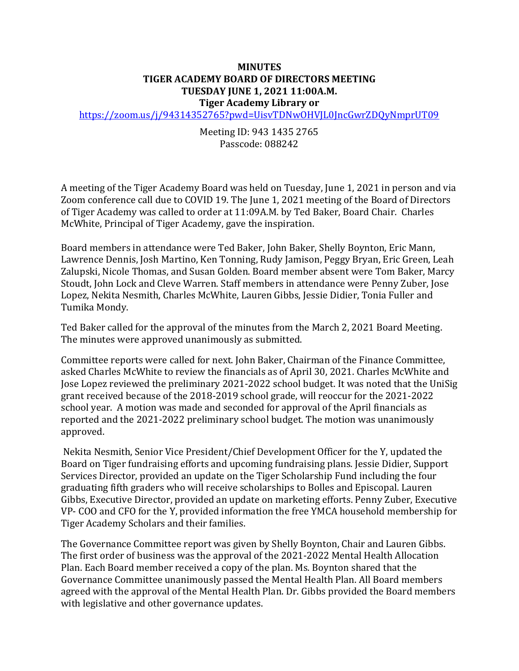## **MINUTES TIGER ACADEMY BOARD OF DIRECTORS MEETING TUESDAY JUNE 1, 2021 11:00A.M. Tiger Academy Library or**

<https://zoom.us/j/94314352765?pwd=UisvTDNwOHVJL0JncGwrZDQyNmprUT09>

## Meeting ID: 943 1435 2765 Passcode: 088242

A meeting of the Tiger Academy Board was held on Tuesday, June 1, 2021 in person and via Zoom conference call due to COVID 19. The June 1, 2021 meeting of the Board of Directors of Tiger Academy was called to order at 11:09A.M. by Ted Baker, Board Chair. Charles McWhite, Principal of Tiger Academy, gave the inspiration.

Board members in attendance were Ted Baker, John Baker, Shelly Boynton, Eric Mann, Lawrence Dennis, Josh Martino, Ken Tonning, Rudy Jamison, Peggy Bryan, Eric Green, Leah Zalupski, Nicole Thomas, and Susan Golden. Board member absent were Tom Baker, Marcy Stoudt, John Lock and Cleve Warren. Staff members in attendance were Penny Zuber, Jose Lopez, Nekita Nesmith, Charles McWhite, Lauren Gibbs, Jessie Didier, Tonia Fuller and Tumika Mondy.

Ted Baker called for the approval of the minutes from the March 2, 2021 Board Meeting. The minutes were approved unanimously as submitted.

Committee reports were called for next. John Baker, Chairman of the Finance Committee, asked Charles McWhite to review the financials as of April 30, 2021. Charles McWhite and Jose Lopez reviewed the preliminary 2021-2022 school budget. It was noted that the UniSig grant received because of the 2018-2019 school grade, will reoccur for the 2021-2022 school year. A motion was made and seconded for approval of the April financials as reported and the 2021-2022 preliminary school budget. The motion was unanimously approved.

Nekita Nesmith, Senior Vice President/Chief Development Officer for the Y, updated the Board on Tiger fundraising efforts and upcoming fundraising plans. Jessie Didier, Support Services Director, provided an update on the Tiger Scholarship Fund including the four graduating fifth graders who will receive scholarships to Bolles and Episcopal. Lauren Gibbs, Executive Director, provided an update on marketing efforts. Penny Zuber, Executive VP- COO and CFO for the Y, provided information the free YMCA household membership for Tiger Academy Scholars and their families.

The Governance Committee report was given by Shelly Boynton, Chair and Lauren Gibbs. The first order of business was the approval of the 2021-2022 Mental Health Allocation Plan. Each Board member received a copy of the plan. Ms. Boynton shared that the Governance Committee unanimously passed the Mental Health Plan. All Board members agreed with the approval of the Mental Health Plan. Dr. Gibbs provided the Board members with legislative and other governance updates.